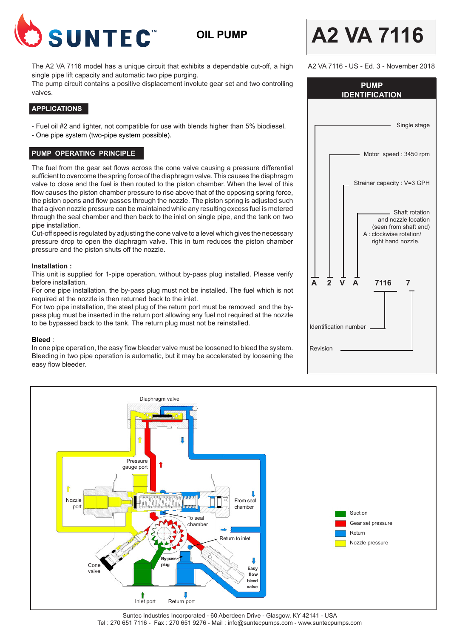

**OIL PUMP**

The A2 VA 7116 model has a unique circuit that exhibits a dependable cut-off, a high single pipe lift capacity and automatic two pipe purging.

The pump circuit contains a positive displacement involute gear set and two controlling valves.

### **APPLICATIONS**

- Fuel oil #2 and lighter, not compatible for use with blends higher than 5% biodiesel.

- One pipe system (two-pipe system possible).

### **PUMP OPERATING PRINCIPLE**

The fuel from the gear set flows across the cone valve causing a pressure differential sufficient to overcome the spring force of the diaphragm valve. This causes the diaphragm valve to close and the fuel is then routed to the piston chamber. When the level of this flow causes the piston chamber pressure to rise above that of the opposing spring force, the piston opens and flow passes through the nozzle. The piston spring is adjusted such that a given nozzle pressure can be maintained while any resulting excess fuel is metered through the seal chamber and then back to the inlet on single pipe, and the tank on two pipe installation.

Cut-off speed is regulated by adjusting the cone valve to a level which gives the necessary pressure drop to open the diaphragm valve. This in turn reduces the piston chamber pressure and the piston shuts off the nozzle.

#### **Installation :**

This unit is supplied for 1-pipe operation, without by-pass plug installed. Please verify before installation.

For one pipe installation, the by-pass plug must not be installed. The fuel which is not required at the nozzle is then returned back to the inlet.

For two pipe installation, the steel plug of the return port must be removed and the bypass plug must be inserted in the return port allowing any fuel not required at the nozzle to be bypassed back to the tank. The return plug must not be reinstalled.

#### **Bleed** :

In one pipe operation, the easy flow bleeder valve must be loosened to bleed the system. Bleeding in two pipe operation is automatic, but it may be accelerated by loosening the easy flow bleeder.

| <b>PUMP</b><br><b>IDENTIFICATION</b>                                                                            |
|-----------------------------------------------------------------------------------------------------------------|
| Single stage                                                                                                    |
| Motor speed: 3450 rpm                                                                                           |
| Strainer capacity : V=3 GPH                                                                                     |
| Shaft rotation<br>and nozzle location<br>(seen from shaft end)<br>A : clockwise rotation/<br>right hand nozzle. |
| Δ<br>Δ<br>7116<br>$\overline{2}$<br>$\overline{7}$                                                              |
| Identification number                                                                                           |
| Revision                                                                                                        |

**A2 VA 7116**

A2 VA 7116 - US - Ed. 3 - November 2018